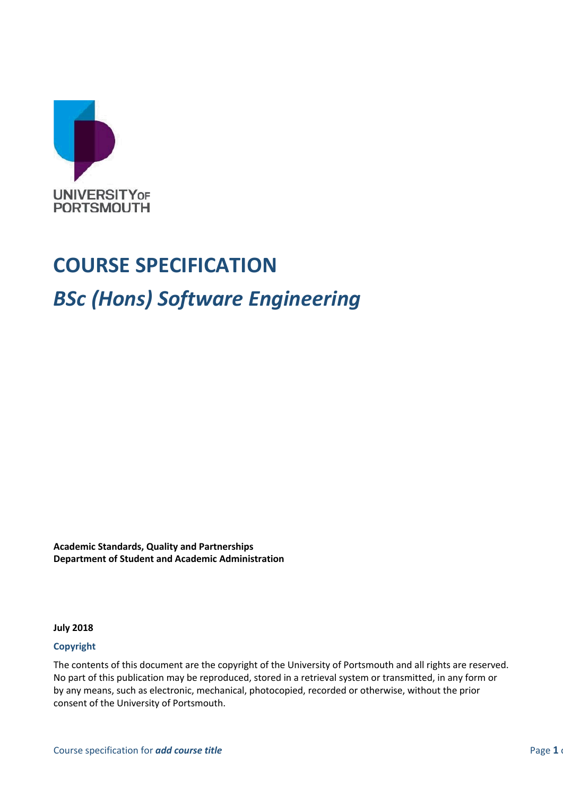

# **COURSE SPECIFICATION**

# *BSc (Hons) Software Engineering*

**Academic Standards, Quality and Partnerships Department of Student and Academic Administration**

**July 2018**

#### **Copyright**

The contents of this document are the copyright of the University of Portsmouth and all rights are reserved. No part of this publication may be reproduced, stored in a retrieval system or transmitted, in any form or by any means, such as electronic, mechanical, photocopied, recorded or otherwise, without the prior consent of the University of Portsmouth.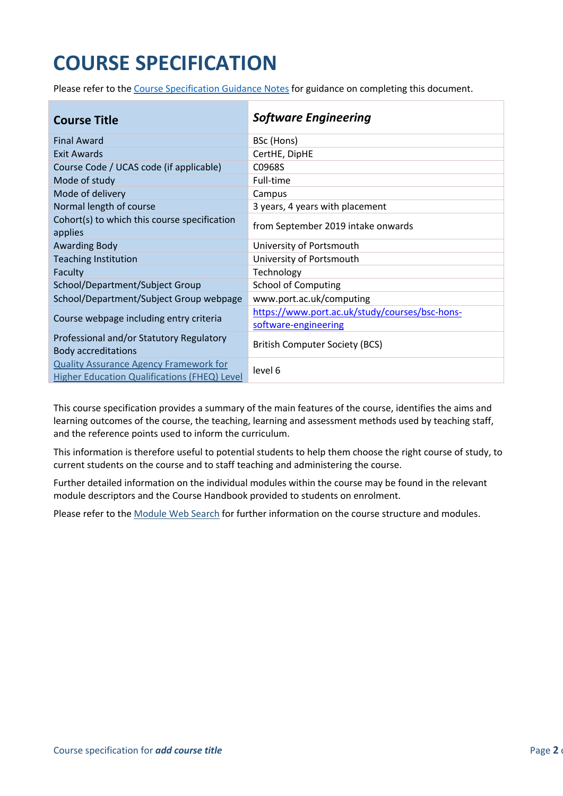# **COURSE SPECIFICATION**

Please refer to the [Course Specification Guidance Notes](http://www.port.ac.uk/departments/services/academicregistry/qmd/curriculum-framework-2019-20/filetodownload,201767,en.docx) for guidance on completing this document.

| <b>Course Title</b>                                                                           | <b>Software Engineering</b>                                            |
|-----------------------------------------------------------------------------------------------|------------------------------------------------------------------------|
| <b>Final Award</b>                                                                            | BSc (Hons)                                                             |
| Exit Awards                                                                                   | CertHE, DipHE                                                          |
| Course Code / UCAS code (if applicable)                                                       | C0968S                                                                 |
| Mode of study                                                                                 | Full-time                                                              |
| Mode of delivery                                                                              | Campus                                                                 |
| Normal length of course                                                                       | 3 years, 4 years with placement                                        |
| Cohort(s) to which this course specification<br>applies                                       | from September 2019 intake onwards                                     |
| <b>Awarding Body</b>                                                                          | University of Portsmouth                                               |
| <b>Teaching Institution</b>                                                                   | University of Portsmouth                                               |
| Faculty                                                                                       | Technology                                                             |
| School/Department/Subject Group                                                               | <b>School of Computing</b>                                             |
| School/Department/Subject Group webpage                                                       | www.port.ac.uk/computing                                               |
| Course webpage including entry criteria                                                       | https://www.port.ac.uk/study/courses/bsc-hons-<br>software-engineering |
| Professional and/or Statutory Regulatory<br><b>Body accreditations</b>                        | <b>British Computer Society (BCS)</b>                                  |
| <b>Quality Assurance Agency Framework for</b><br>Higher Education Qualifications (FHEQ) Level | level 6                                                                |

This course specification provides a summary of the main features of the course, identifies the aims and learning outcomes of the course, the teaching, learning and assessment methods used by teaching staff, and the reference points used to inform the curriculum.

This information is therefore useful to potential students to help them choose the right course of study, to current students on the course and to staff teaching and administering the course.

Further detailed information on the individual modules within the course may be found in the relevant module descriptors and the Course Handbook provided to students on enrolment.

Please refer to the [Module Web Search](https://register.port.ac.uk/ords/f?p=111:1:0:::::) for further information on the course structure and modules.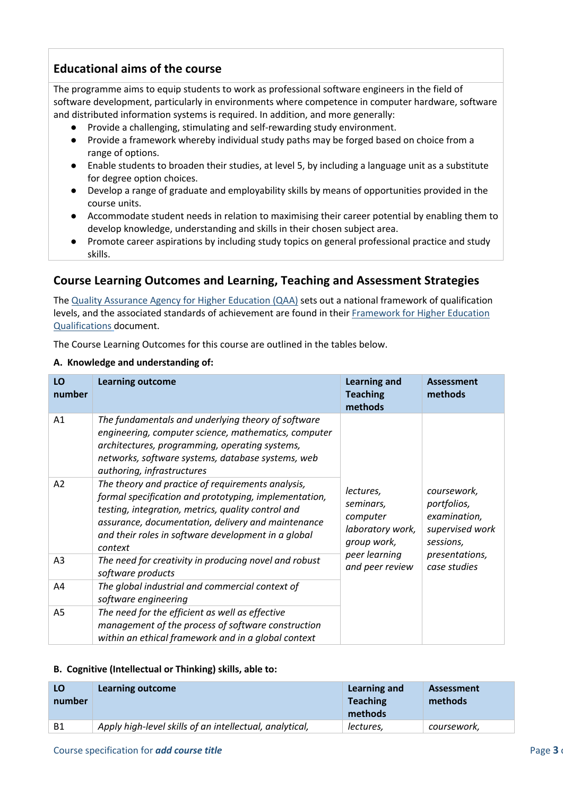## **Educational aims of the course**

The programme aims to equip students to work as professional software engineers in the field of software development, particularly in environments where competence in computer hardware, software and distributed information systems is required. In addition, and more generally:

- Provide a challenging, stimulating and self-rewarding study environment.
- Provide a framework whereby individual study paths may be forged based on choice from a range of options.
- Enable students to broaden their studies, at level 5, by including a language unit as a substitute for degree option choices.
- Develop a range of graduate and employability skills by means of opportunities provided in the course units.
- Accommodate student needs in relation to maximising their career potential by enabling them to develop knowledge, understanding and skills in their chosen subject area.
- Promote career aspirations by including study topics on general professional practice and study skills.

### **Course Learning Outcomes and Learning, Teaching and Assessment Strategies**

The [Quality Assurance Agency for Higher Education \(QAA\)](http://www.qaa.ac.uk/en) sets out a national framework of qualification levels, and the associated standards of achievement are found in their [Framework for Higher Education](http://www.qaa.ac.uk/en/Publications/Documents/qualifications-frameworks.pdf)  [Qualifications](http://www.qaa.ac.uk/en/Publications/Documents/qualifications-frameworks.pdf) document.

The Course Learning Outcomes for this course are outlined in the tables below.

#### **A. Knowledge and understanding of:**

| LO<br>number   | <b>Learning outcome</b>                                                                                                                                                                                                                                                                  | <b>Learning and</b><br><b>Teaching</b><br>methods                     | <b>Assessment</b><br>methods                                               |
|----------------|------------------------------------------------------------------------------------------------------------------------------------------------------------------------------------------------------------------------------------------------------------------------------------------|-----------------------------------------------------------------------|----------------------------------------------------------------------------|
| A1             | The fundamentals and underlying theory of software<br>engineering, computer science, mathematics, computer<br>architectures, programming, operating systems,<br>networks, software systems, database systems, web<br>authoring, infrastructures                                          |                                                                       |                                                                            |
| A2             | The theory and practice of requirements analysis,<br>formal specification and prototyping, implementation,<br>testing, integration, metrics, quality control and<br>assurance, documentation, delivery and maintenance<br>and their roles in software development in a global<br>context | lectures,<br>seminars,<br>computer<br>laboratory work,<br>group work, | coursework,<br>portfolios,<br>examination,<br>supervised work<br>sessions, |
| A <sub>3</sub> | The need for creativity in producing novel and robust<br>software products                                                                                                                                                                                                               | peer learning<br>and peer review                                      | presentations,<br>case studies                                             |
| A4             | The global industrial and commercial context of<br>software engineering                                                                                                                                                                                                                  |                                                                       |                                                                            |
| A <sub>5</sub> | The need for the efficient as well as effective<br>management of the process of software construction<br>within an ethical framework and in a global context                                                                                                                             |                                                                       |                                                                            |

#### **B. Cognitive (Intellectual or Thinking) skills, able to:**

| LO<br>number | Learning outcome                                        | Learning and<br><b>Teaching</b><br>methods | <b>Assessment</b><br>methods |
|--------------|---------------------------------------------------------|--------------------------------------------|------------------------------|
| B1           | Apply high-level skills of an intellectual, analytical, | lectures,                                  | coursework,                  |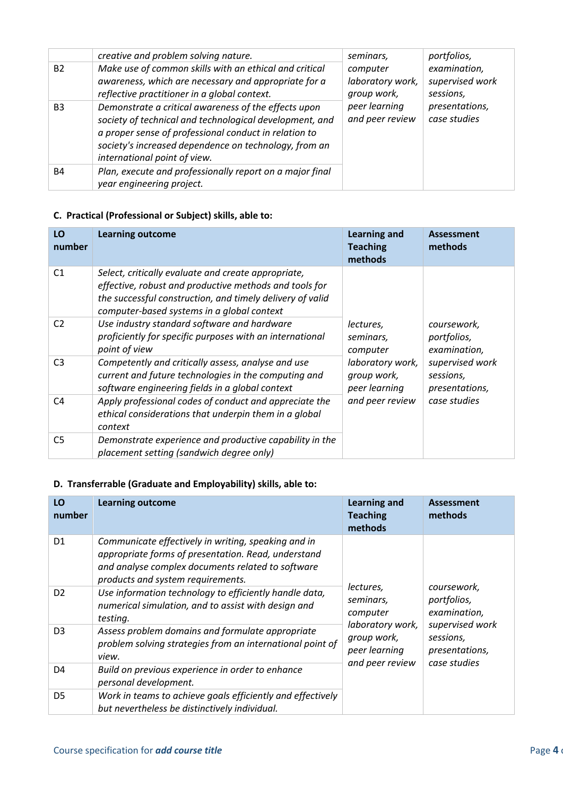|                | creative and problem solving nature.                                                                                                                                                                                                                              | seminars,                                   | portfolios,                                  |
|----------------|-------------------------------------------------------------------------------------------------------------------------------------------------------------------------------------------------------------------------------------------------------------------|---------------------------------------------|----------------------------------------------|
| <b>B2</b>      | Make use of common skills with an ethical and critical<br>awareness, which are necessary and appropriate for a<br>reflective practitioner in a global context.                                                                                                    | computer<br>laboratory work,<br>group work, | examination,<br>supervised work<br>sessions, |
| B <sub>3</sub> | Demonstrate a critical awareness of the effects upon<br>society of technical and technological development, and<br>a proper sense of professional conduct in relation to<br>society's increased dependence on technology, from an<br>international point of view. | peer learning<br>and peer review            | presentations,<br>case studies               |
| <b>B4</b>      | Plan, execute and professionally report on a major final<br>year engineering project.                                                                                                                                                                             |                                             |                                              |

#### **C. Practical (Professional or Subject) skills, able to:**

| LO<br>number   | <b>Learning outcome</b>                                                                                                                                                                                                  | <b>Learning and</b><br><b>Teaching</b><br>methods | <b>Assessment</b><br>methods                   |
|----------------|--------------------------------------------------------------------------------------------------------------------------------------------------------------------------------------------------------------------------|---------------------------------------------------|------------------------------------------------|
| C <sub>1</sub> | Select, critically evaluate and create appropriate,<br>effective, robust and productive methods and tools for<br>the successful construction, and timely delivery of valid<br>computer-based systems in a global context |                                                   |                                                |
| C <sub>2</sub> | Use industry standard software and hardware<br>proficiently for specific purposes with an international<br>point of view                                                                                                 | lectures,<br>seminars,<br>computer                | coursework,<br>portfolios,<br>examination,     |
| C <sub>3</sub> | Competently and critically assess, analyse and use<br>current and future technologies in the computing and<br>software engineering fields in a global context                                                            | laboratory work,<br>group work,<br>peer learning  | supervised work<br>sessions,<br>presentations, |
| C4             | Apply professional codes of conduct and appreciate the<br>ethical considerations that underpin them in a global<br>context                                                                                               | and peer review                                   | case studies                                   |
| C <sub>5</sub> | Demonstrate experience and productive capability in the<br>placement setting (sandwich degree only)                                                                                                                      |                                                   |                                                |

#### **D. Transferrable (Graduate and Employability) skills, able to:**

| LO<br>number   | <b>Learning outcome</b>                                                                                                                                                                              | <b>Learning and</b><br><b>Teaching</b><br>methods                                                                                     | <b>Assessment</b><br>methods               |
|----------------|------------------------------------------------------------------------------------------------------------------------------------------------------------------------------------------------------|---------------------------------------------------------------------------------------------------------------------------------------|--------------------------------------------|
| D <sub>1</sub> | Communicate effectively in writing, speaking and in<br>appropriate forms of presentation. Read, understand<br>and analyse complex documents related to software<br>products and system requirements. |                                                                                                                                       |                                            |
| D <sub>2</sub> | Use information technology to efficiently handle data,<br>numerical simulation, and to assist with design and<br>testing.                                                                            | lectures,<br>seminars,<br>computer                                                                                                    | coursework,<br>portfolios,<br>examination, |
| D <sub>3</sub> | Assess problem domains and formulate appropriate<br>problem solving strategies from an international point of<br>view.                                                                               | supervised work<br>laboratory work,<br>group work,<br>sessions,<br>peer learning<br>presentations,<br>and peer review<br>case studies |                                            |
| D4             | Build on previous experience in order to enhance<br>personal development.                                                                                                                            |                                                                                                                                       |                                            |
| D <sub>5</sub> | Work in teams to achieve goals efficiently and effectively<br>but nevertheless be distinctively individual.                                                                                          |                                                                                                                                       |                                            |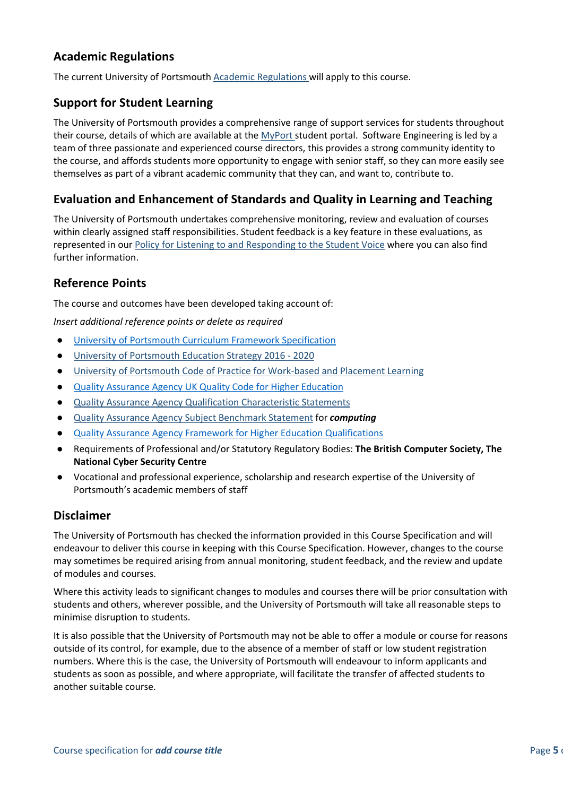### **Academic Regulations**

The current University of Portsmouth [Academic Regulations](http://www.port.ac.uk/departments/services/academicregistry/qmd/assessmentandregulations/) will apply to this course.

#### **Support for Student Learning**

The University of Portsmouth provides a comprehensive range of support services for students throughout their course, details of which are available at the [MyPort](http://myport.ac.uk/) student portal. Software Engineering is led by a team of three passionate and experienced course directors, this provides a strong community identity to the course, and affords students more opportunity to engage with senior staff, so they can more easily see themselves as part of a vibrant academic community that they can, and want to, contribute to.

#### **Evaluation and Enhancement of Standards and Quality in Learning and Teaching**

The University of Portsmouth undertakes comprehensive monitoring, review and evaluation of courses within clearly assigned staff responsibilities. Student feedback is a key feature in these evaluations, as represented in our [Policy for Listening to and Responding to the Student Voice](http://policies.docstore.port.ac.uk/policy-069.pdf) where you can also find further information.

#### **Reference Points**

The course and outcomes have been developed taking account of:

*Insert additional reference points or delete as required*

- [University of Portsmouth Curriculum Framework Specification](http://www.port.ac.uk/departments/services/academicregistry/qmd/curriculum-framework-2019-20/filetodownload,201776,en.pdf)
- [University of Portsmouth Education Strategy 2016 -](http://policies.docstore.port.ac.uk/policy-187.pdf) 2020
- [University of Portsmouth Code of Practice for Work-based and Placement Learning](http://policies.docstore.port.ac.uk/policy-151.pdf)
- [Quality Assurance Agency UK Quality Code for Higher Education](http://www.qaa.ac.uk/assuring-standards-and-quality/the-quality-code/)
- [Quality Assurance Agency Qualification Characteristic Statements](http://www.qaa.ac.uk/assuring-standards-and-quality/the-quality-code/characteristics-statements)
- [Quality Assurance Agency Subject Benchmark Statement](http://www.qaa.ac.uk/docs/qaa/subject-benchmark-statements/sbs-computing-16.pdf) for *computing*
- **[Quality Assurance Agency Framework for Higher Education Qualifications](http://www.qaa.ac.uk/en/Publications/Documents/qualifications-frameworks.pdf)**
- Requirements of Professional and/or Statutory Regulatory Bodies: **The British Computer Society, The National Cyber Security Centre**
- Vocational and professional experience, scholarship and research expertise of the University of Portsmouth's academic members of staff

#### **Disclaimer**

The University of Portsmouth has checked the information provided in this Course Specification and will endeavour to deliver this course in keeping with this Course Specification. However, changes to the course may sometimes be required arising from annual monitoring, student feedback, and the review and update of modules and courses.

Where this activity leads to significant changes to modules and courses there will be prior consultation with students and others, wherever possible, and the University of Portsmouth will take all reasonable steps to minimise disruption to students.

It is also possible that the University of Portsmouth may not be able to offer a module or course for reasons outside of its control, for example, due to the absence of a member of staff or low student registration numbers. Where this is the case, the University of Portsmouth will endeavour to inform applicants and students as soon as possible, and where appropriate, will facilitate the transfer of affected students to another suitable course.